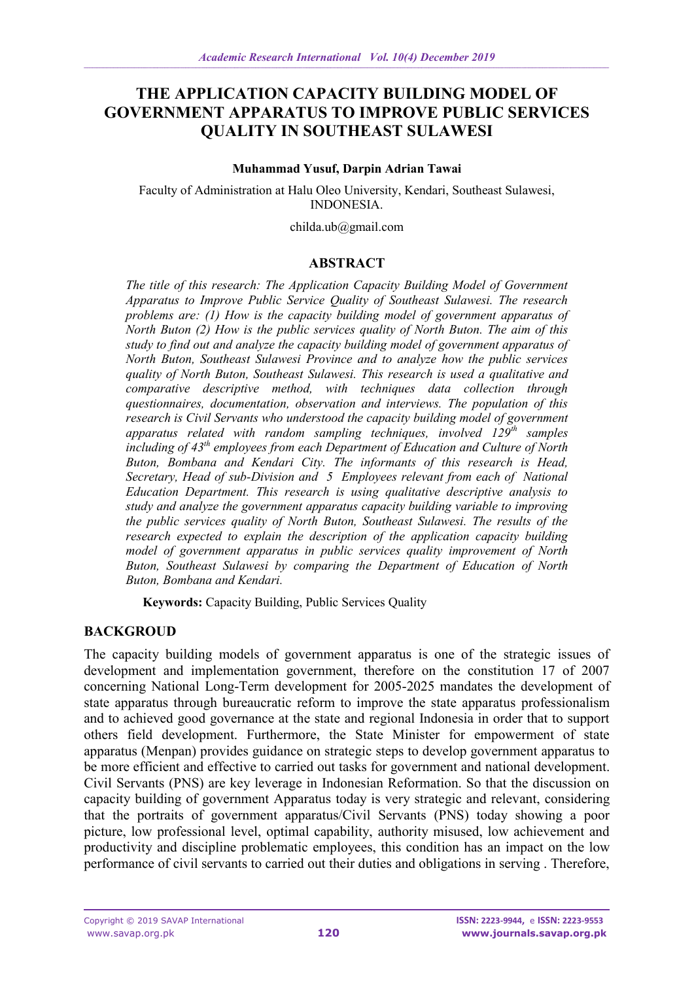# **THE APPLICATION CAPACITY BUILDING MODEL OF GOVERNMENT APPARATUS TO IMPROVE PUBLIC SERVICES QUALITY IN SOUTHEAST SULAWESI**

#### **Muhammad Yusuf, Darpin Adrian Tawai**

Faculty of Administration at Halu Oleo University, Kendari, Southeast Sulawesi, INDONESIA.

childa.ub@gmail.com

#### **ABSTRACT**

*The title of this research: The Application Capacity Building Model of Government Apparatus to Improve Public Service Quality of Southeast Sulawesi. The research problems are: (1) How is the capacity building model of government apparatus of North Buton (2) How is the public services quality of North Buton. The aim of this study to find out and analyze the capacity building model of government apparatus of North Buton, Southeast Sulawesi Province and to analyze how the public services quality of North Buton, Southeast Sulawesi. This research is used a qualitative and comparative descriptive method, with techniques data collection through questionnaires, documentation, observation and interviews. The population of this research is Civil Servants who understood the capacity building model of government apparatus related with random sampling techniques, involved 129th samples including of 43th employees from each Department of Education and Culture of North Buton, Bombana and Kendari City. The informants of this research is Head, Secretary, Head of sub-Division and 5 Employees relevant from each of National Education Department. This research is using qualitative descriptive analysis to study and analyze the government apparatus capacity building variable to improving the public services quality of North Buton, Southeast Sulawesi. The results of the research expected to explain the description of the application capacity building model of government apparatus in public services quality improvement of North Buton, Southeast Sulawesi by comparing the Department of Education of North Buton, Bombana and Kendari.*

**Keywords:** Capacity Building, Public Services Quality

### **BACKGROUD**

The capacity building models of government apparatus is one of the strategic issues of development and implementation government, therefore on the constitution 17 of 2007 concerning National Long-Term development for 2005-2025 mandates the development of state apparatus through bureaucratic reform to improve the state apparatus professionalism and to achieved good governance at the state and regional Indonesia in order that to support others field development. Furthermore, the State Minister for empowerment of state apparatus (Menpan) provides guidance on strategic steps to develop government apparatus to be more efficient and effective to carried out tasks for government and national development. Civil Servants (PNS) are key leverage in Indonesian Reformation. So that the discussion on capacity building of government Apparatus today is very strategic and relevant, considering that the portraits of government apparatus/Civil Servants (PNS) today showing a poor picture, low professional level, optimal capability, authority misused, low achievement and productivity and discipline problematic employees, this condition has an impact on the low performance of civil servants to carried out their duties and obligations in serving . Therefore,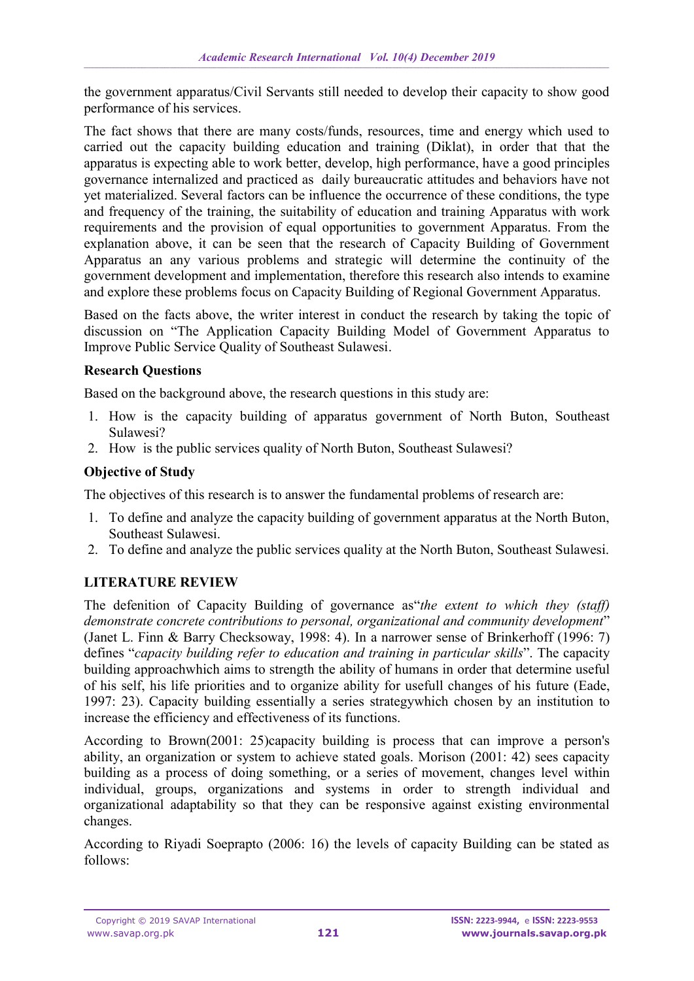the government apparatus/Civil Servants still needed to develop their capacity to show good performance of his services.

The fact shows that there are many costs/funds, resources, time and energy which used to carried out the capacity building education and training (Diklat), in order that that the apparatus is expecting able to work better, develop, high performance, have a good principles governance internalized and practiced as daily bureaucratic attitudes and behaviors have not yet materialized. Several factors can be influence the occurrence of these conditions, the type and frequency of the training, the suitability of education and training Apparatus with work requirements and the provision of equal opportunities to government Apparatus. From the explanation above, it can be seen that the research of Capacity Building of Government Apparatus an any various problems and strategic will determine the continuity of the government development and implementation, therefore this research also intends to examine and explore these problems focus on Capacity Building of Regional Government Apparatus.

Based on the facts above, the writer interest in conduct the research by taking the topic of discussion on "The Application Capacity Building Model of Government Apparatus to Improve Public Service Quality of Southeast Sulawesi.

### **Research Questions**

Based on the background above, the research questions in this study are:

- 1. How is the capacity building of apparatus government of North Buton, Southeast Sulawesi?
- 2. How is the public services quality of North Buton, Southeast Sulawesi?

# **Objective of Study**

The objectives of this research is to answer the fundamental problems of research are:

- 1. To define and analyze the capacity building of government apparatus at the North Buton, Southeast Sulawesi.
- 2. To define and analyze the public services quality at the North Buton, Southeast Sulawesi.

# **LITERATURE REVIEW**

The defenition of Capacity Building of governance as"*the extent to which they (staff) demonstrate concrete contributions to personal, organizational and community development*" (Janet L. Finn & Barry Checksoway, 1998: 4). In a narrower sense of Brinkerhoff (1996: 7) defines "*capacity building refer to education and training in particular skills*". The capacity building approachwhich aims to strength the ability of humans in order that determine useful of his self, his life priorities and to organize ability for usefull changes of his future (Eade, 1997: 23). Capacity building essentially a series strategywhich chosen by an institution to increase the efficiency and effectiveness of its functions.

According to Brown(2001: 25)capacity building is process that can improve a person's ability, an organization or system to achieve stated goals. Morison (2001: 42) sees capacity building as a process of doing something, or a series of movement, changes level within individual, groups, organizations and systems in order to strength individual and organizational adaptability so that they can be responsive against existing environmental changes.

According to Riyadi Soeprapto (2006: 16) the levels of capacity Building can be stated as follows: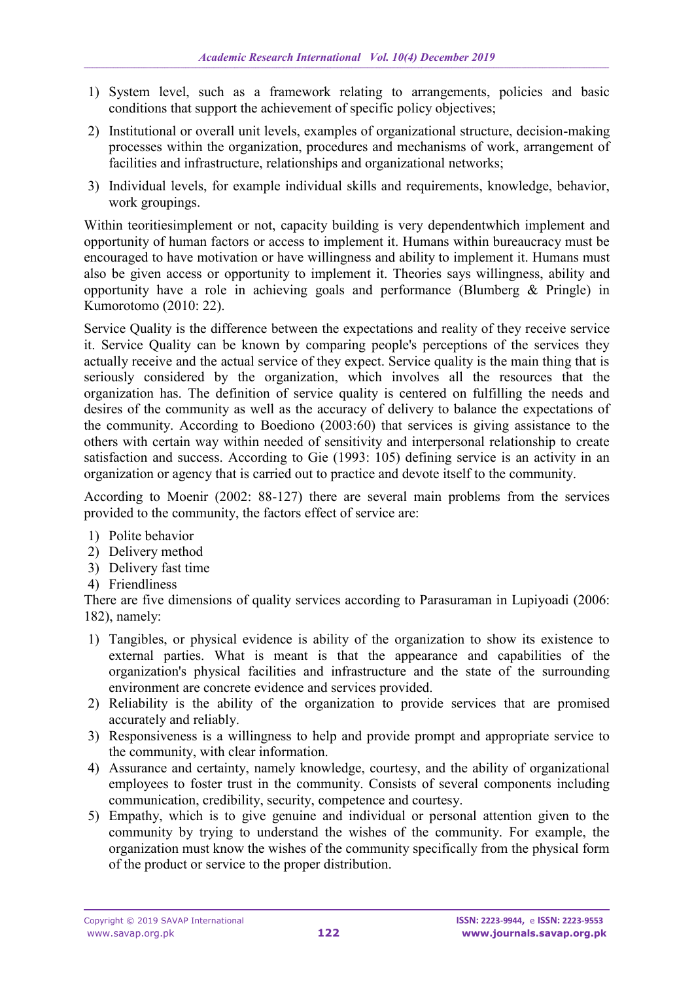- 1) System level, such as a framework relating to arrangements, policies and basic conditions that support the achievement of specific policy objectives;
- 2) Institutional or overall unit levels, examples of organizational structure, decision-making processes within the organization, procedures and mechanisms of work, arrangement of facilities and infrastructure, relationships and organizational networks;
- 3) Individual levels, for example individual skills and requirements, knowledge, behavior, work groupings.

Within teoritiesimplement or not, capacity building is very dependentwhich implement and opportunity of human factors or access to implement it. Humans within bureaucracy must be encouraged to have motivation or have willingness and ability to implement it. Humans must also be given access or opportunity to implement it. Theories says willingness, ability and opportunity have a role in achieving goals and performance (Blumberg & Pringle) in Kumorotomo (2010: 22).

Service Quality is the difference between the expectations and reality of they receive service it. Service Quality can be known by comparing people's perceptions of the services they actually receive and the actual service of they expect. Service quality is the main thing that is seriously considered by the organization, which involves all the resources that the organization has. The definition of service quality is centered on fulfilling the needs and desires of the community as well as the accuracy of delivery to balance the expectations of the community. According to Boediono (2003:60) that services is giving assistance to the others with certain way within needed of sensitivity and interpersonal relationship to create satisfaction and success. According to Gie (1993: 105) defining service is an activity in an organization or agency that is carried out to practice and devote itself to the community.

According to Moenir (2002: 88-127) there are several main problems from the services provided to the community, the factors effect of service are:

- 1) Polite behavior
- 2) Delivery method
- 3) Delivery fast time
- 4) Friendliness

There are five dimensions of quality services according to Parasuraman in Lupiyoadi (2006: 182), namely:

- 1) Tangibles, or physical evidence is ability of the organization to show its existence to external parties. What is meant is that the appearance and capabilities of the organization's physical facilities and infrastructure and the state of the surrounding environment are concrete evidence and services provided.
- 2) Reliability is the ability of the organization to provide services that are promised accurately and reliably.
- 3) Responsiveness is a willingness to help and provide prompt and appropriate service to the community, with clear information.
- 4) Assurance and certainty, namely knowledge, courtesy, and the ability of organizational employees to foster trust in the community. Consists of several components including communication, credibility, security, competence and courtesy.
- 5) Empathy, which is to give genuine and individual or personal attention given to the community by trying to understand the wishes of the community. For example, the organization must know the wishes of the community specifically from the physical form of the product or service to the proper distribution.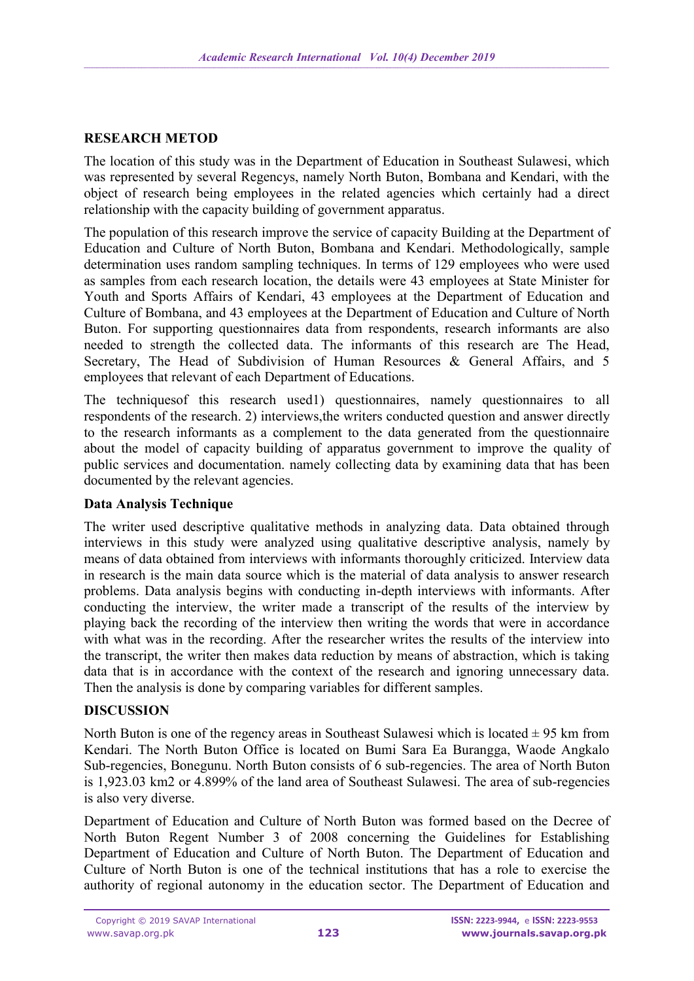## **RESEARCH METOD**

The location of this study was in the Department of Education in Southeast Sulawesi, which was represented by several Regencys, namely North Buton, Bombana and Kendari, with the object of research being employees in the related agencies which certainly had a direct relationship with the capacity building of government apparatus.

The population of this research improve the service of capacity Building at the Department of Education and Culture of North Buton, Bombana and Kendari. Methodologically, sample determination uses random sampling techniques. In terms of 129 employees who were used as samples from each research location, the details were 43 employees at State Minister for Youth and Sports Affairs of Kendari, 43 employees at the Department of Education and Culture of Bombana, and 43 employees at the Department of Education and Culture of North Buton. For supporting questionnaires data from respondents, research informants are also needed to strength the collected data. The informants of this research are The Head, Secretary, The Head of Subdivision of Human Resources & General Affairs, and 5 employees that relevant of each Department of Educations.

The techniquesof this research used1) questionnaires, namely questionnaires to all respondents of the research. 2) interviews,the writers conducted question and answer directly to the research informants as a complement to the data generated from the questionnaire about the model of capacity building of apparatus government to improve the quality of public services and documentation. namely collecting data by examining data that has been documented by the relevant agencies.

### **Data Analysis Technique**

The writer used descriptive qualitative methods in analyzing data. Data obtained through interviews in this study were analyzed using qualitative descriptive analysis, namely by means of data obtained from interviews with informants thoroughly criticized. Interview data in research is the main data source which is the material of data analysis to answer research problems. Data analysis begins with conducting in-depth interviews with informants. After conducting the interview, the writer made a transcript of the results of the interview by playing back the recording of the interview then writing the words that were in accordance with what was in the recording. After the researcher writes the results of the interview into the transcript, the writer then makes data reduction by means of abstraction, which is taking data that is in accordance with the context of the research and ignoring unnecessary data. Then the analysis is done by comparing variables for different samples.

### **DISCUSSION**

North Buton is one of the regency areas in Southeast Sulawesi which is located  $\pm$  95 km from Kendari. The North Buton Office is located on Bumi Sara Ea Burangga, Waode Angkalo Sub-regencies, Bonegunu. North Buton consists of 6 sub-regencies. The area of North Buton is 1,923.03 km2 or 4.899% of the land area of Southeast Sulawesi. The area of sub-regencies is also very diverse.

Department of Education and Culture of North Buton was formed based on the Decree of North Buton Regent Number 3 of 2008 concerning the Guidelines for Establishing Department of Education and Culture of North Buton. The Department of Education and Culture of North Buton is one of the technical institutions that has a role to exercise the authority of regional autonomy in the education sector. The Department of Education and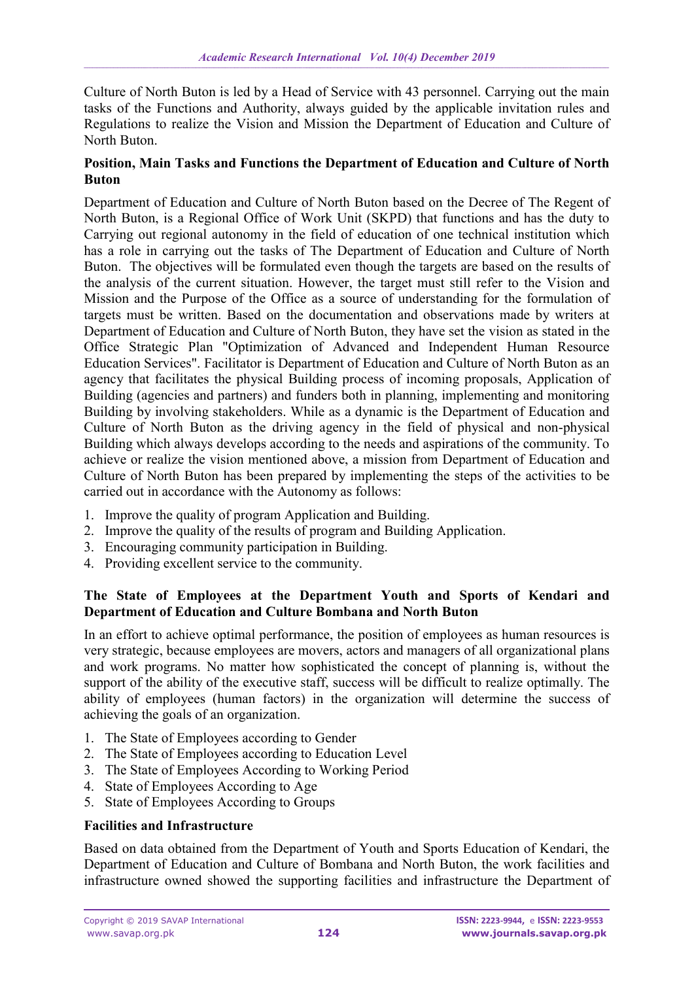Culture of North Buton is led by a Head of Service with 43 personnel. Carrying out the main tasks of the Functions and Authority, always guided by the applicable invitation rules and Regulations to realize the Vision and Mission the Department of Education and Culture of North Buton.

### **Position, Main Tasks and Functions the Department of Education and Culture of North Buton**

Department of Education and Culture of North Buton based on the Decree of The Regent of North Buton, is a Regional Office of Work Unit (SKPD) that functions and has the duty to Carrying out regional autonomy in the field of education of one technical institution which has a role in carrying out the tasks of The Department of Education and Culture of North Buton. The objectives will be formulated even though the targets are based on the results of the analysis of the current situation. However, the target must still refer to the Vision and Mission and the Purpose of the Office as a source of understanding for the formulation of targets must be written. Based on the documentation and observations made by writers at Department of Education and Culture of North Buton, they have set the vision as stated in the Office Strategic Plan "Optimization of Advanced and Independent Human Resource Education Services". Facilitator is Department of Education and Culture of North Buton as an agency that facilitates the physical Building process of incoming proposals, Application of Building (agencies and partners) and funders both in planning, implementing and monitoring Building by involving stakeholders. While as a dynamic is the Department of Education and Culture of North Buton as the driving agency in the field of physical and non-physical Building which always develops according to the needs and aspirations of the community. To achieve or realize the vision mentioned above, a mission from Department of Education and Culture of North Buton has been prepared by implementing the steps of the activities to be carried out in accordance with the Autonomy as follows:

- 1. Improve the quality of program Application and Building.
- 2. Improve the quality of the results of program and Building Application.
- 3. Encouraging community participation in Building.
- 4. Providing excellent service to the community.

### **The State of Employees at the Department Youth and Sports of Kendari and Department of Education and Culture Bombana and North Buton**

In an effort to achieve optimal performance, the position of employees as human resources is very strategic, because employees are movers, actors and managers of all organizational plans and work programs. No matter how sophisticated the concept of planning is, without the support of the ability of the executive staff, success will be difficult to realize optimally. The ability of employees (human factors) in the organization will determine the success of achieving the goals of an organization.

- 1. The State of Employees according to Gender
- 2. The State of Employees according to Education Level
- 3. The State of Employees According to Working Period
- 4. State of Employees According to Age
- 5. State of Employees According to Groups

### **Facilities and Infrastructure**

Based on data obtained from the Department of Youth and Sports Education of Kendari, the Department of Education and Culture of Bombana and North Buton, the work facilities and infrastructure owned showed the supporting facilities and infrastructure the Department of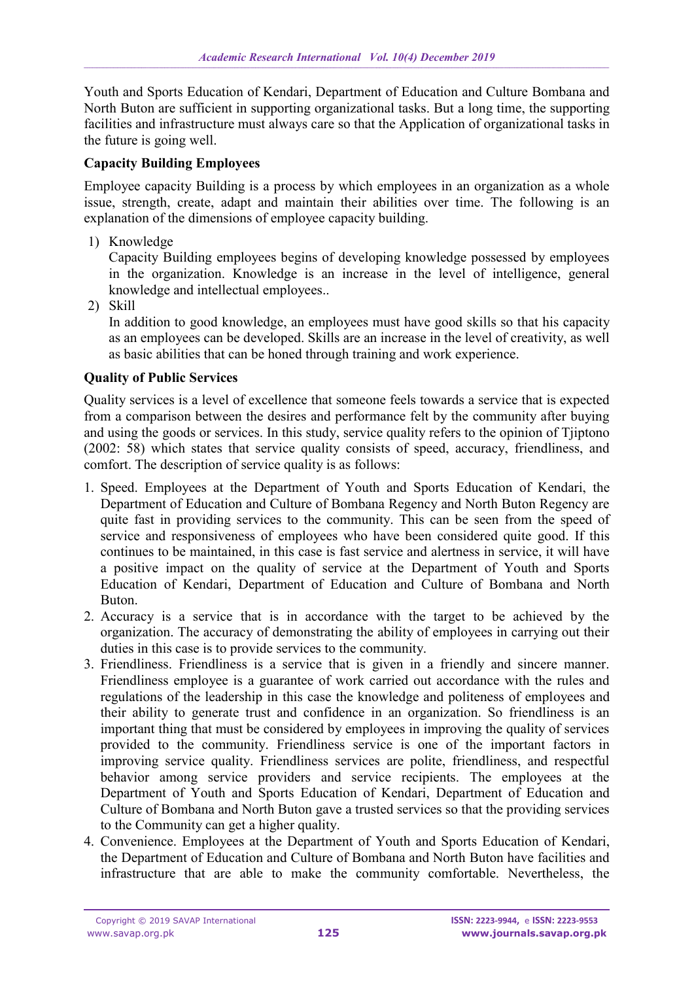Youth and Sports Education of Kendari, Department of Education and Culture Bombana and North Buton are sufficient in supporting organizational tasks. But a long time, the supporting facilities and infrastructure must always care so that the Application of organizational tasks in the future is going well.

## **Capacity Building Employees**

Employee capacity Building is a process by which employees in an organization as a whole issue, strength, create, adapt and maintain their abilities over time. The following is an explanation of the dimensions of employee capacity building.

1) Knowledge

Capacity Building employees begins of developing knowledge possessed by employees in the organization. Knowledge is an increase in the level of intelligence, general knowledge and intellectual employees..

2) Skill

In addition to good knowledge, an employees must have good skills so that his capacity as an employees can be developed. Skills are an increase in the level of creativity, as well as basic abilities that can be honed through training and work experience.

### **Quality of Public Services**

Quality services is a level of excellence that someone feels towards a service that is expected from a comparison between the desires and performance felt by the community after buying and using the goods or services. In this study, service quality refers to the opinion of Tjiptono (2002: 58) which states that service quality consists of speed, accuracy, friendliness, and comfort. The description of service quality is as follows:

- 1. Speed. Employees at the Department of Youth and Sports Education of Kendari, the Department of Education and Culture of Bombana Regency and North Buton Regency are quite fast in providing services to the community. This can be seen from the speed of service and responsiveness of employees who have been considered quite good. If this continues to be maintained, in this case is fast service and alertness in service, it will have a positive impact on the quality of service at the Department of Youth and Sports Education of Kendari, Department of Education and Culture of Bombana and North Buton.
- 2. Accuracy is a service that is in accordance with the target to be achieved by the organization. The accuracy of demonstrating the ability of employees in carrying out their duties in this case is to provide services to the community.
- 3. Friendliness. Friendliness is a service that is given in a friendly and sincere manner. Friendliness employee is a guarantee of work carried out accordance with the rules and regulations of the leadership in this case the knowledge and politeness of employees and their ability to generate trust and confidence in an organization. So friendliness is an important thing that must be considered by employees in improving the quality of services provided to the community. Friendliness service is one of the important factors in improving service quality. Friendliness services are polite, friendliness, and respectful behavior among service providers and service recipients. The employees at the Department of Youth and Sports Education of Kendari, Department of Education and Culture of Bombana and North Buton gave a trusted services so that the providing services to the Community can get a higher quality.
- 4. Convenience. Employees at the Department of Youth and Sports Education of Kendari, the Department of Education and Culture of Bombana and North Buton have facilities and infrastructure that are able to make the community comfortable. Nevertheless, the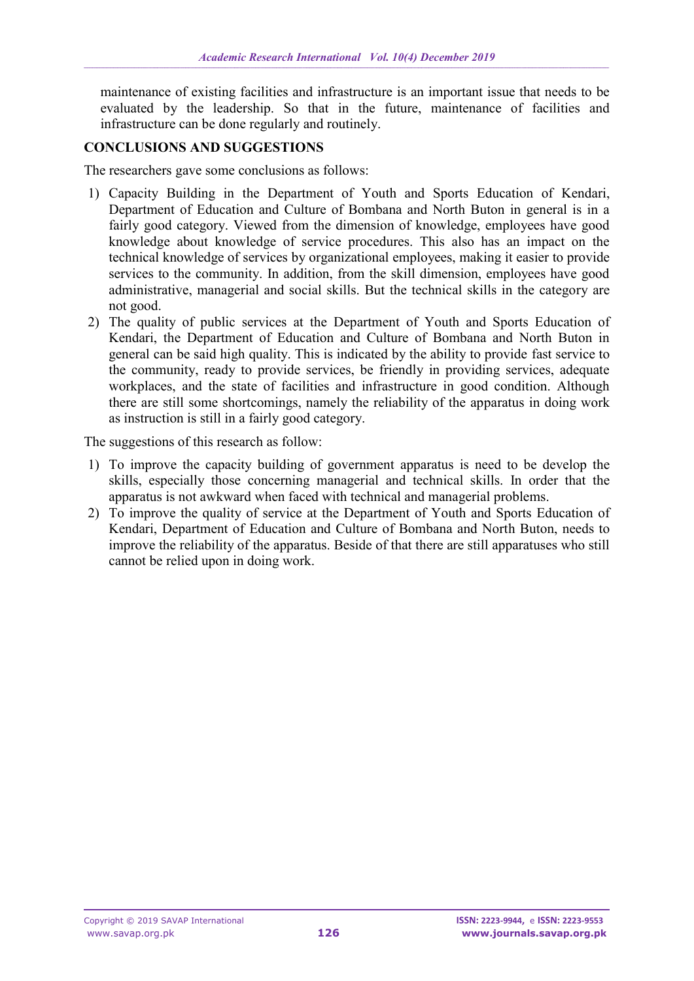maintenance of existing facilities and infrastructure is an important issue that needs to be evaluated by the leadership. So that in the future, maintenance of facilities and infrastructure can be done regularly and routinely.

#### **CONCLUSIONS AND SUGGESTIONS**

The researchers gave some conclusions as follows:

- 1) Capacity Building in the Department of Youth and Sports Education of Kendari, Department of Education and Culture of Bombana and North Buton in general is in a fairly good category. Viewed from the dimension of knowledge, employees have good knowledge about knowledge of service procedures. This also has an impact on the technical knowledge of services by organizational employees, making it easier to provide services to the community. In addition, from the skill dimension, employees have good administrative, managerial and social skills. But the technical skills in the category are not good.
- 2) The quality of public services at the Department of Youth and Sports Education of Kendari, the Department of Education and Culture of Bombana and North Buton in general can be said high quality. This is indicated by the ability to provide fast service to the community, ready to provide services, be friendly in providing services, adequate workplaces, and the state of facilities and infrastructure in good condition. Although there are still some shortcomings, namely the reliability of the apparatus in doing work as instruction is still in a fairly good category.

The suggestions of this research as follow:

- 1) To improve the capacity building of government apparatus is need to be develop the skills, especially those concerning managerial and technical skills. In order that the apparatus is not awkward when faced with technical and managerial problems.
- 2) To improve the quality of service at the Department of Youth and Sports Education of Kendari, Department of Education and Culture of Bombana and North Buton, needs to improve the reliability of the apparatus. Beside of that there are still apparatuses who still cannot be relied upon in doing work.